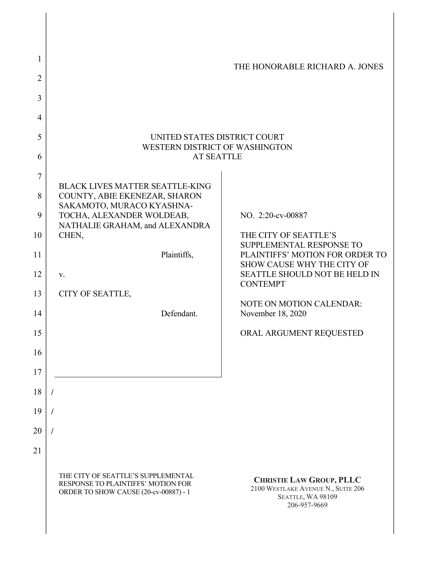| 1              |                                                                                                                   | THE HONORABLE RICHARD A. JONES                                                                             |
|----------------|-------------------------------------------------------------------------------------------------------------------|------------------------------------------------------------------------------------------------------------|
| 2              |                                                                                                                   |                                                                                                            |
| 3              |                                                                                                                   |                                                                                                            |
| $\overline{4}$ |                                                                                                                   |                                                                                                            |
| 5              | UNITED STATES DISTRICT COURT                                                                                      |                                                                                                            |
| 6              | WESTERN DISTRICT OF WASHINGTON<br><b>AT SEATTLE</b>                                                               |                                                                                                            |
| 7              |                                                                                                                   |                                                                                                            |
| 8              | <b>BLACK LIVES MATTER SEATTLE-KING</b><br>COUNTY, ABIE EKENEZAR, SHARON                                           |                                                                                                            |
| 9              | SAKAMOTO, MURACO KYASHNA-<br>TOCHA, ALEXANDER WOLDEAB,                                                            | NO. 2:20-cv-00887                                                                                          |
| 10             | NATHALIE GRAHAM, and ALEXANDRA<br>CHEN,                                                                           | THE CITY OF SEATTLE'S                                                                                      |
| 11             | Plaintiffs,                                                                                                       | SUPPLEMENTAL RESPONSE TO<br>PLAINTIFFS' MOTION FOR ORDER TO                                                |
| 12             | V.                                                                                                                | SHOW CAUSE WHY THE CITY OF<br>SEATTLE SHOULD NOT BE HELD IN                                                |
| 13             | CITY OF SEATTLE,                                                                                                  | <b>CONTEMPT</b>                                                                                            |
| 14             | Defendant.                                                                                                        | <b>NOTE ON MOTION CALENDAR:</b><br>November 18, 2020                                                       |
| 15             |                                                                                                                   | ORAL ARGUMENT REQUESTED                                                                                    |
| 16             |                                                                                                                   |                                                                                                            |
| 17             |                                                                                                                   |                                                                                                            |
| 18             |                                                                                                                   |                                                                                                            |
| 19             |                                                                                                                   |                                                                                                            |
| 20             |                                                                                                                   |                                                                                                            |
| 21             |                                                                                                                   |                                                                                                            |
|                | THE CITY OF SEATTLE'S SUPPLEMENTAL<br>RESPONSE TO PLAINTIFFS' MOTION FOR<br>ORDER TO SHOW CAUSE (20-cv-00887) - 1 | <b>CHRISTIE LAW GROUP, PLLC</b><br>2100 WESTLAKE AVENUE N., SUITE 206<br>SEATTLE, WA 98109<br>206-957-9669 |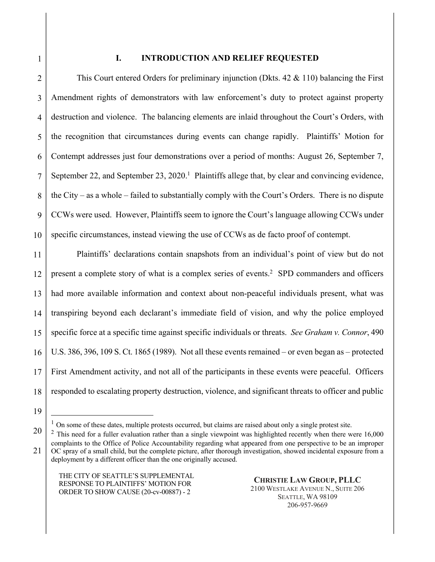1

## **I. INTRODUCTION AND RELIEF REQUESTED**

2 3 4 5 6 7 8 9 10 This Court entered Orders for preliminary injunction (Dkts.  $42 \& 110$ ) balancing the First Amendment rights of demonstrators with law enforcement's duty to protect against property destruction and violence. The balancing elements are inlaid throughout the Court's Orders, with the recognition that circumstances during events can change rapidly. Plaintiffs' Motion for Contempt addresses just four demonstrations over a period of months: August 26, September 7, September 22, and September 23, 2020.<sup>1</sup> Plaintiffs allege that, by clear and convincing evidence, the City – as a whole – failed to substantially comply with the Court's Orders. There is no dispute CCWs were used. However, Plaintiffs seem to ignore the Court's language allowing CCWs under specific circumstances, instead viewing the use of CCWs as de facto proof of contempt.

11 12 13 14 15 16 17 18 Plaintiffs' declarations contain snapshots from an individual's point of view but do not present a complete story of what is a complex series of events.<sup>2</sup> SPD commanders and officers had more available information and context about non-peaceful individuals present, what was transpiring beyond each declarant's immediate field of vision, and why the police employed specific force at a specific time against specific individuals or threats. *See Graham v. Connor*, 490 U.S. 386, 396, 109 S. Ct. 1865 (1989). Not all these events remained – or even began as – protected First Amendment activity, and not all of the participants in these events were peaceful. Officers responded to escalating property destruction, violence, and significant threats to officer and public

<sup>19</sup>

<sup>&</sup>lt;sup>1</sup> On some of these dates, multiple protests occurred, but claims are raised about only a single protest site.

<sup>20</sup> 21  $2$  This need for a fuller evaluation rather than a single viewpoint was highlighted recently when there were  $16,000$ complaints to the Office of Police Accountability regarding what appeared from one perspective to be an improper OC spray of a small child, but the complete picture, after thorough investigation, showed incidental exposure from a deployment by a different officer than the one originally accused.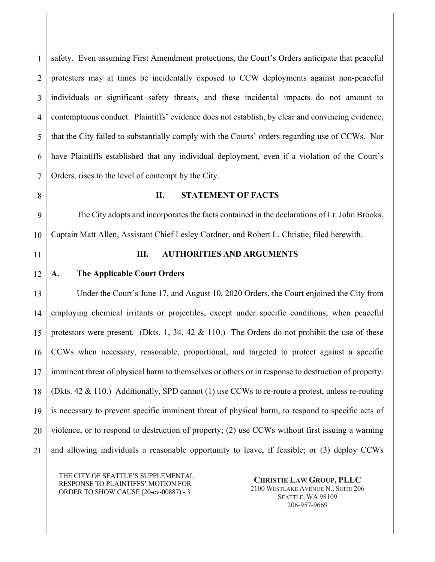1 2 3 4 5 6 7 safety. Even assuming First Amendment protections, the Court's Orders anticipate that peaceful protesters may at times be incidentally exposed to CCW deployments against non-peaceful individuals or significant safety threats, and these incidental impacts do not amount to contemptuous conduct. Plaintiffs' evidence does not establish, by clear and convincing evidence, that the City failed to substantially comply with the Courts' orders regarding use of CCWs. Nor have Plaintiffs established that any individual deployment, even if a violation of the Court's Orders, rises to the level of contempt by the City.

8

#### **II. STATEMENT OF FACTS**

9 10 The City adopts and incorporates the facts contained in the declarations of Lt. John Brooks, Captain Matt Allen, Assistant Chief Lesley Cordner, and Robert L. Christie, filed herewith.

11

# **III. AUTHORITIES AND ARGUMENTS**

#### 12 **A. The Applicable Court Orders**

13 14 15 16 17 18 19 20 21 Under the Court's June 17, and August 10, 2020 Orders, the Court enjoined the City from employing chemical irritants or projectiles, except under specific conditions, when peaceful protestors were present. (Dkts. 1, 34, 42 & 110.) The Orders do not prohibit the use of these CCWs when necessary, reasonable, proportional, and targeted to protect against a specific imminent threat of physical harm to themselves or others or in response to destruction of property. (Dkts. 42 & 110.) Additionally, SPD cannot (1) use CCWs to re-route a protest, unless re-routing is necessary to prevent specific imminent threat of physical harm, to respond to specific acts of violence, or to respond to destruction of property; (2) use CCWs without first issuing a warning and allowing individuals a reasonable opportunity to leave, if feasible; or (3) deploy CCWs

THE CITY OF SEATTLE'S SUPPLEMENTAL RESPONSE TO PLAINTIFFS' MOTION FOR ORDER TO SHOW CAUSE (20-cv-00887) - 3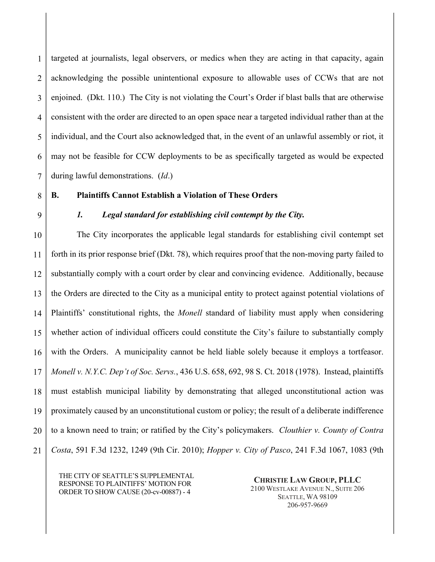1 2 3 4 5 6 7 targeted at journalists, legal observers, or medics when they are acting in that capacity, again acknowledging the possible unintentional exposure to allowable uses of CCWs that are not enjoined. (Dkt. 110.) The City is not violating the Court's Order if blast balls that are otherwise consistent with the order are directed to an open space near a targeted individual rather than at the individual, and the Court also acknowledged that, in the event of an unlawful assembly or riot, it may not be feasible for CCW deployments to be as specifically targeted as would be expected during lawful demonstrations. (*Id*.)

# **B. Plaintiffs Cannot Establish a Violation of These Orders**

# 9

8

# *1. Legal standard for establishing civil contempt by the City.*

10 11 12 13 14 15 16 17 18 19 20 21 The City incorporates the applicable legal standards for establishing civil contempt set forth in its prior response brief (Dkt. 78), which requires proof that the non-moving party failed to substantially comply with a court order by clear and convincing evidence. Additionally, because the Orders are directed to the City as a municipal entity to protect against potential violations of Plaintiffs' constitutional rights, the *Monell* standard of liability must apply when considering whether action of individual officers could constitute the City's failure to substantially comply with the Orders. A municipality cannot be held liable solely because it employs a tortfeasor. *Monell v. N.Y.C. Dep't of Soc. Servs.*, 436 U.S. 658, 692, 98 S. Ct. 2018 (1978). Instead, plaintiffs must establish municipal liability by demonstrating that alleged unconstitutional action was proximately caused by an unconstitutional custom or policy; the result of a deliberate indifference to a known need to train; or ratified by the City's policymakers. *Clouthier v. County of Contra Costa*, 591 F.3d 1232, 1249 (9th Cir. 2010); *Hopper v. City of Pasco*, 241 F.3d 1067, 1083 (9th

THE CITY OF SEATTLE'S SUPPLEMENTAL RESPONSE TO PLAINTIFFS' MOTION FOR ORDER TO SHOW CAUSE (20-cv-00887) - 4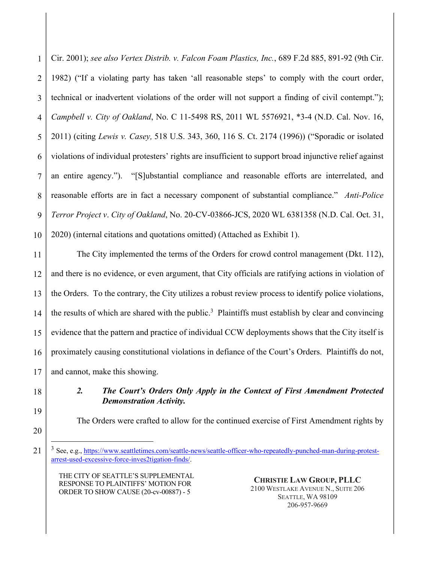1 2 3 4 5 6 7 8 9 10 Cir. 2001); *see also Vertex Distrib. v. Falcon Foam Plastics, Inc.*, 689 F.2d 885, 891-92 (9th Cir. 1982) ("If a violating party has taken 'all reasonable steps' to comply with the court order, technical or inadvertent violations of the order will not support a finding of civil contempt."); *Campbell v. City of Oakland*, No. C 11-5498 RS, 2011 WL 5576921, \*3-4 (N.D. Cal. Nov. 16, 2011) (citing *Lewis v. Casey,* 518 U.S. 343, 360, 116 S. Ct. 2174 (1996)) ("Sporadic or isolated violations of individual protesters' rights are insufficient to support broad injunctive relief against an entire agency."). "[S]ubstantial compliance and reasonable efforts are interrelated, and reasonable efforts are in fact a necessary component of substantial compliance." *Anti-Police Terror Project v*. *City of Oakland*, No. 20-CV-03866-JCS, 2020 WL 6381358 (N.D. Cal. Oct. 31, 2020) (internal citations and quotations omitted) (Attached as Exhibit 1).

11 12 13 14 15 16 17 The City implemented the terms of the Orders for crowd control management (Dkt. 112), and there is no evidence, or even argument, that City officials are ratifying actions in violation of the Orders. To the contrary, the City utilizes a robust review process to identify police violations, the results of which are shared with the public.<sup>3</sup> Plaintiffs must establish by clear and convincing evidence that the pattern and practice of individual CCW deployments shows that the City itself is proximately causing constitutional violations in defiance of the Court's Orders. Plaintiffs do not, and cannot, make this showing.

18

19

# *2. The Court's Orders Only Apply in the Context of First Amendment Protected Demonstration Activity.*

The Orders were crafted to allow for the continued exercise of First Amendment rights by

20 21

THE CITY OF SEATTLE'S SUPPLEMENTAL RESPONSE TO PLAINTIFFS' MOTION FOR ORDER TO SHOW CAUSE (20-cv-00887) - 5

<sup>&</sup>lt;sup>3</sup> See, e.g., https://www.seattletimes.com/seattle-news/seattle-officer-who-repeatedly-punched-man-during-protestarrest-used-excessive-force-inves2tigation-finds/.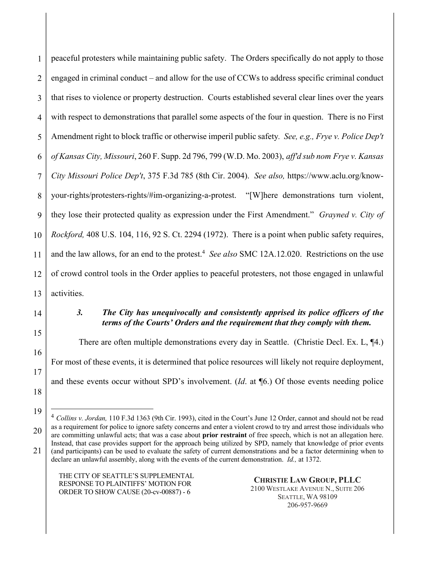1 2 3 4 5 6 7 8 9 10 11 12 13 peaceful protesters while maintaining public safety. The Orders specifically do not apply to those engaged in criminal conduct – and allow for the use of CCWs to address specific criminal conduct that rises to violence or property destruction. Courts established several clear lines over the years with respect to demonstrations that parallel some aspects of the four in question. There is no First Amendment right to block traffic or otherwise imperil public safety*. See, e.g., Frye v. Police Dep't of Kansas City, Missouri*, 260 F. Supp. 2d 796, 799 (W.D. Mo. 2003), *aff'd sub nom Frye v. Kansas City Missouri Police Dep't*, 375 F.3d 785 (8th Cir. 2004). *See also,* https://www.aclu.org/knowyour-rights/protesters-rights/#im-organizing-a-protest. "[W]here demonstrations turn violent, they lose their protected quality as expression under the First Amendment." *Grayned v. City of Rockford,* 408 U.S. 104, 116, 92 S. Ct. 2294 (1972). There is a point when public safety requires, and the law allows, for an end to the protest. <sup>4</sup> *See also* SMC 12A.12.020. Restrictions on the use of crowd control tools in the Order applies to peaceful protesters, not those engaged in unlawful activities.

14

15

16

17

18

19

### *3. The City has unequivocally and consistently apprised its police officers of the terms of the Courts' Orders and the requirement that they comply with them.*

There are often multiple demonstrations every day in Seattle. (Christie Decl. Ex. L, ¶4.) For most of these events, it is determined that police resources will likely not require deployment, and these events occur without SPD's involvement. (*Id*. at ¶6.) Of those events needing police

THE CITY OF SEATTLE'S SUPPLEMENTAL RESPONSE TO PLAINTIFFS' MOTION FOR ORDER TO SHOW CAUSE (20-cv-00887) - 6

<sup>20</sup> 21 <sup>4</sup> *Collins v. Jordan,* 110 F.3d 1363 (9th Cir. 1993), cited in the Court's June 12 Order, cannot and should not be read as a requirement for police to ignore safety concerns and enter a violent crowd to try and arrest those individuals who are committing unlawful acts; that was a case about **prior restraint** of free speech, which is not an allegation here. Instead, that case provides support for the approach being utilized by SPD, namely that knowledge of prior events (and participants) can be used to evaluate the safety of current demonstrations and be a factor determining when to declare an unlawful assembly, along with the events of the current demonstration. *Id.,* at 1372.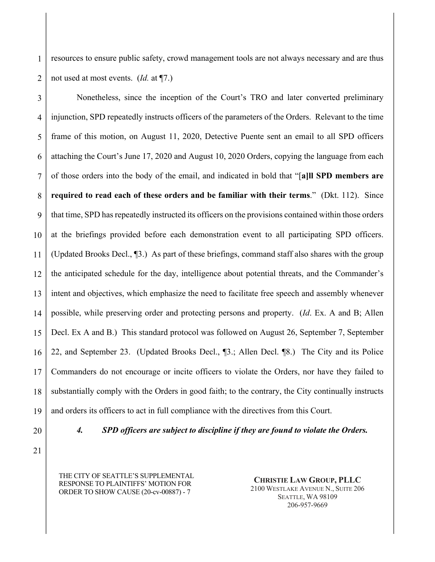1 2 resources to ensure public safety, crowd management tools are not always necessary and are thus not used at most events. (*Id.* at ¶7.)

3 4 5 6 7 8 9 10 11 12 13 14 15 16 17 18 19 Nonetheless, since the inception of the Court's TRO and later converted preliminary injunction, SPD repeatedly instructs officers of the parameters of the Orders. Relevant to the time frame of this motion, on August 11, 2020, Detective Puente sent an email to all SPD officers attaching the Court's June 17, 2020 and August 10, 2020 Orders, copying the language from each of those orders into the body of the email, and indicated in bold that "[**a]ll SPD members are required to read each of these orders and be familiar with their terms**." (Dkt. 112). Since that time, SPD has repeatedly instructed its officers on the provisions contained within those orders at the briefings provided before each demonstration event to all participating SPD officers. (Updated Brooks Decl., ¶3.) As part of these briefings, command staff also shares with the group the anticipated schedule for the day, intelligence about potential threats, and the Commander's intent and objectives, which emphasize the need to facilitate free speech and assembly whenever possible, while preserving order and protecting persons and property. (*Id*. Ex. A and B; Allen Decl. Ex A and B.) This standard protocol was followed on August 26, September 7, September 22, and September 23. (Updated Brooks Decl., ¶3.; Allen Decl. ¶8.) The City and its Police Commanders do not encourage or incite officers to violate the Orders, nor have they failed to substantially comply with the Orders in good faith; to the contrary, the City continually instructs and orders its officers to act in full compliance with the directives from this Court.

20

*4. SPD officers are subject to discipline if they are found to violate the Orders.*

21

THE CITY OF SEATTLE'S SUPPLEMENTAL RESPONSE TO PLAINTIFFS' MOTION FOR ORDER TO SHOW CAUSE (20-cv-00887) - 7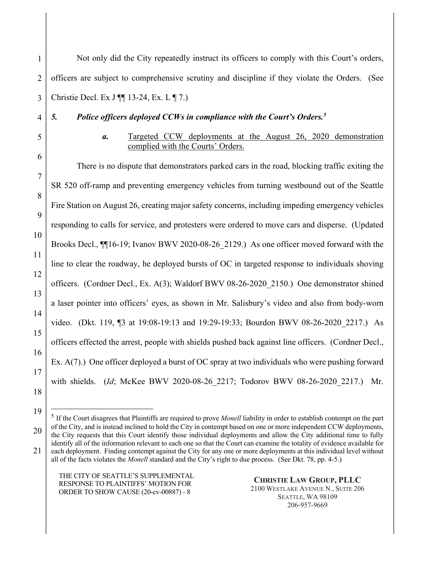1 2 3 4 5 6 7 8 9 10 11 12 13 14 15 16 17 18 Not only did the City repeatedly instruct its officers to comply with this Court's orders, officers are subject to comprehensive scrutiny and discipline if they violate the Orders. (See Christie Decl. Ex J ¶¶ 13-24, Ex. L ¶ 7.) *5. Police officers deployed CCWs in compliance with the Court's Orders.5 a.* Targeted CCW deployments at the August 26, 2020 demonstration complied with the Courts' Orders. There is no dispute that demonstrators parked cars in the road, blocking traffic exiting the SR 520 off-ramp and preventing emergency vehicles from turning westbound out of the Seattle Fire Station on August 26, creating major safety concerns, including impeding emergency vehicles responding to calls for service, and protesters were ordered to move cars and disperse. (Updated Brooks Decl.,  $\P$ [16-19; Ivanov BWV 2020-08-26 2129.) As one officer moved forward with the line to clear the roadway, he deployed bursts of OC in targeted response to individuals shoving officers. (Cordner Decl., Ex. A(3); Waldorf BWV 08-26-2020\_2150.) One demonstrator shined a laser pointer into officers' eyes, as shown in Mr. Salisbury's video and also from body-worn video. (Dkt. 119, ¶3 at 19:08-19:13 and 19:29-19:33; Bourdon BWV 08-26-2020\_2217.) As officers effected the arrest, people with shields pushed back against line officers. (Cordner Decl., Ex. A(7).) One officer deployed a burst of OC spray at two individuals who were pushing forward with shields. (*Id*; McKee BWV 2020-08-26\_2217; Todorov BWV 08-26-2020\_2217.) Mr.

THE CITY OF SEATTLE'S SUPPLEMENTAL RESPONSE TO PLAINTIFFS' MOTION FOR ORDER TO SHOW CAUSE (20-cv-00887) - 8

19

<sup>20</sup> 21 <sup>5</sup> If the Court disagrees that Plaintiffs are required to prove *Monell* liability in order to establish contempt on the part of the City, and is instead inclined to hold the City in contempt based on one or more independent CCW deployments, the City requests that this Court identify those individual deployments and allow the City additional time to fully identify all of the information relevant to each one so that the Court can examine the totality of evidence available for each deployment. Finding contempt against the City for any one or more deployments at this individual level without all of the facts violates the *Monell* standard and the City's right to due process. (See Dkt. 78, pp. 4-5.)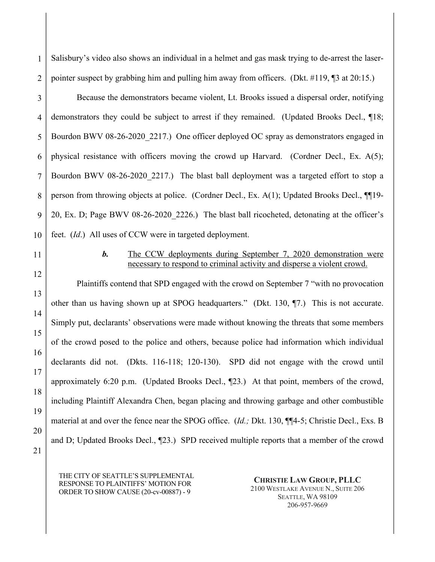1 2 Salisbury's video also shows an individual in a helmet and gas mask trying to de-arrest the laserpointer suspect by grabbing him and pulling him away from officers. (Dkt. #119, ¶3 at 20:15.)

3 4 5 6 7 8 9 10 Because the demonstrators became violent, Lt. Brooks issued a dispersal order, notifying demonstrators they could be subject to arrest if they remained. (Updated Brooks Decl., ¶18; Bourdon BWV 08-26-2020 2217.) One officer deployed OC spray as demonstrators engaged in physical resistance with officers moving the crowd up Harvard. (Cordner Decl., Ex. A(5); Bourdon BWV 08-26-2020 2217.) The blast ball deployment was a targeted effort to stop a person from throwing objects at police. (Cordner Decl., Ex. A(1); Updated Brooks Decl., ¶¶19- 20, Ex. D; Page BWV 08-26-2020\_2226.) The blast ball ricocheted, detonating at the officer's feet. (*Id*.) All uses of CCW were in targeted deployment.

11

12

13

14

15

16

17

18

19

20

21

# *b.* The CCW deployments during September 7, 2020 demonstration were necessary to respond to criminal activity and disperse a violent crowd.

Plaintiffs contend that SPD engaged with the crowd on September 7 "with no provocation other than us having shown up at SPOG headquarters." (Dkt. 130, ¶7.) This is not accurate. Simply put, declarants' observations were made without knowing the threats that some members of the crowd posed to the police and others, because police had information which individual declarants did not. (Dkts. 116-118; 120-130). SPD did not engage with the crowd until approximately 6:20 p.m. (Updated Brooks Decl., ¶23*.*) At that point, members of the crowd, including Plaintiff Alexandra Chen, began placing and throwing garbage and other combustible material at and over the fence near the SPOG office. (*Id.;* Dkt. 130, ¶¶4-5; Christie Decl., Exs. B and D; Updated Brooks Decl., ¶23.) SPD received multiple reports that a member of the crowd

THE CITY OF SEATTLE'S SUPPLEMENTAL RESPONSE TO PLAINTIFFS' MOTION FOR ORDER TO SHOW CAUSE (20-cv-00887) - 9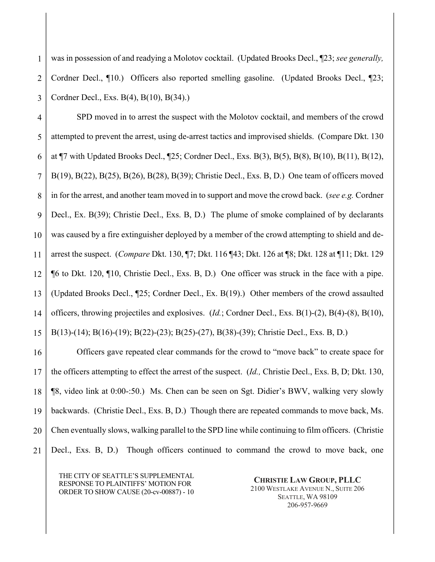1 2 3 was in possession of and readying a Molotov cocktail. (Updated Brooks Decl., ¶23; *see generally,*  Cordner Decl., ¶10.) Officers also reported smelling gasoline. (Updated Brooks Decl., ¶23; Cordner Decl., Exs. B(4), B(10), B(34).)

4 5 6 7 8 9 10 11 12 13 14 15 SPD moved in to arrest the suspect with the Molotov cocktail, and members of the crowd attempted to prevent the arrest, using de-arrest tactics and improvised shields. (Compare Dkt. 130 at ¶7 with Updated Brooks Decl., ¶25; Cordner Decl., Exs. B(3), B(5), B(8), B(10), B(11), B(12), B(19), B(22), B(25), B(26), B(28), B(39); Christie Decl., Exs. B, D.) One team of officers moved in for the arrest, and another team moved in to support and move the crowd back. (*see e.g.* Cordner Decl., Ex. B(39); Christie Decl., Exs. B, D.) The plume of smoke complained of by declarants was caused by a fire extinguisher deployed by a member of the crowd attempting to shield and dearrest the suspect. (*Compare* Dkt. 130, ¶7; Dkt. 116 ¶43; Dkt. 126 at ¶8; Dkt. 128 at ¶11; Dkt. 129 ¶6 to Dkt. 120, ¶10, Christie Decl., Exs. B, D.) One officer was struck in the face with a pipe. (Updated Brooks Decl., ¶25; Cordner Decl., Ex. B(19).) Other members of the crowd assaulted officers, throwing projectiles and explosives. (*Id.*; Cordner Decl., Exs. B(1)-(2), B(4)-(8), B(10), B(13)-(14); B(16)-(19); B(22)-(23); B(25)-(27), B(38)-(39); Christie Decl., Exs. B, D.)

16 17 18 19 20 21 Officers gave repeated clear commands for the crowd to "move back" to create space for the officers attempting to effect the arrest of the suspect. (*Id.,* Christie Decl., Exs. B, D; Dkt. 130, ¶8, video link at 0:00-:50.) Ms. Chen can be seen on Sgt. Didier's BWV, walking very slowly backwards. (Christie Decl., Exs. B, D.) Though there are repeated commands to move back, Ms. Chen eventually slows, walking parallel to the SPD line while continuing to film officers. (Christie Decl., Exs. B, D.) Though officers continued to command the crowd to move back, one

THE CITY OF SEATTLE'S SUPPLEMENTAL RESPONSE TO PLAINTIFFS' MOTION FOR ORDER TO SHOW CAUSE (20-cv-00887) - 10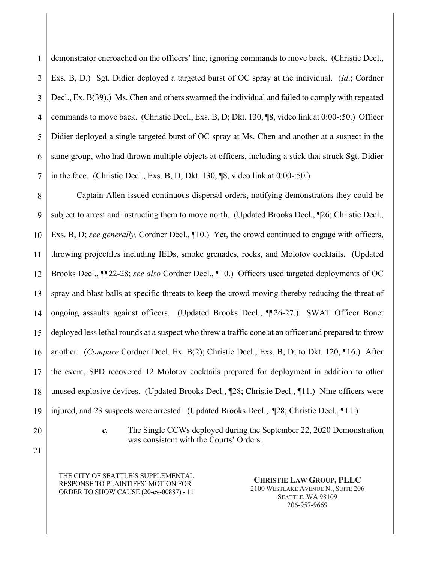1 2 3 4 5 6 7 demonstrator encroached on the officers' line, ignoring commands to move back. (Christie Decl., Exs. B, D.) Sgt. Didier deployed a targeted burst of OC spray at the individual. (*Id*.; Cordner Decl., Ex. B(39).) Ms. Chen and others swarmed the individual and failed to comply with repeated commands to move back. (Christie Decl., Exs. B, D; Dkt. 130, ¶8, video link at 0:00-:50.) Officer Didier deployed a single targeted burst of OC spray at Ms. Chen and another at a suspect in the same group, who had thrown multiple objects at officers, including a stick that struck Sgt. Didier in the face. (Christie Decl., Exs. B, D; Dkt. 130, ¶8, video link at 0:00-:50.)

8 9 10 11 12 13 14 15 16 17 18 19 Captain Allen issued continuous dispersal orders, notifying demonstrators they could be subject to arrest and instructing them to move north. (Updated Brooks Decl., ¶26; Christie Decl., Exs. B, D; *see generally,* Cordner Decl., ¶10.) Yet, the crowd continued to engage with officers, throwing projectiles including IEDs, smoke grenades, rocks, and Molotov cocktails. (Updated Brooks Decl., ¶¶22-28; *see also* Cordner Decl., ¶10.) Officers used targeted deployments of OC spray and blast balls at specific threats to keep the crowd moving thereby reducing the threat of ongoing assaults against officers. (Updated Brooks Decl., ¶¶26-27.) SWAT Officer Bonet deployed less lethal rounds at a suspect who threw a traffic cone at an officer and prepared to throw another. (*Compare* Cordner Decl. Ex. B(2); Christie Decl., Exs. B, D; to Dkt. 120, ¶16.) After the event, SPD recovered 12 Molotov cocktails prepared for deployment in addition to other unused explosive devices. (Updated Brooks Decl., ¶28; Christie Decl., ¶11.) Nine officers were injured, and 23 suspects were arrested. (Updated Brooks Decl., ¶28; Christie Decl., ¶11*.*)

20

*c.* The Single CCWs deployed during the September 22, 2020 Demonstration was consistent with the Courts' Orders.

21

THE CITY OF SEATTLE'S SUPPLEMENTAL RESPONSE TO PLAINTIFFS' MOTION FOR ORDER TO SHOW CAUSE (20-cv-00887) - 11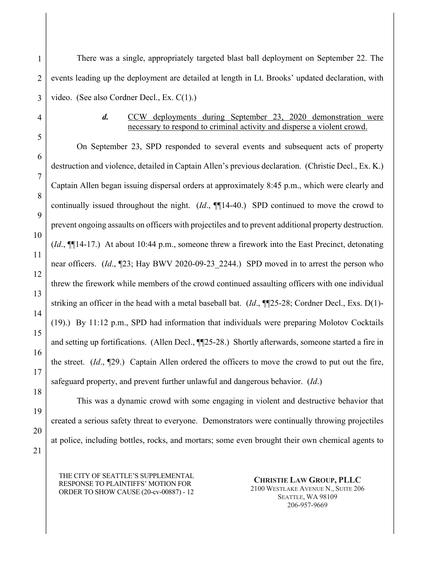There was a single, appropriately targeted blast ball deployment on September 22. The events leading up the deployment are detailed at length in Lt. Brooks' updated declaration, with video. (See also Cordner Decl., Ex. C(1).)

1

2

3

4

5

6

7

8

9

10

11

12

13

14

15

16

17

# *d.* CCW deployments during September 23, 2020 demonstration were necessary to respond to criminal activity and disperse a violent crowd.

On September 23, SPD responded to several events and subsequent acts of property destruction and violence, detailed in Captain Allen's previous declaration. (Christie Decl., Ex. K.) Captain Allen began issuing dispersal orders at approximately 8:45 p.m., which were clearly and continually issued throughout the night. (*Id*., ¶¶14-40.) SPD continued to move the crowd to prevent ongoing assaults on officers with projectiles and to prevent additional property destruction. (*Id*., ¶¶14-17.) At about 10:44 p.m., someone threw a firework into the East Precinct, detonating near officers. (*Id.*, ¶23; Hay BWV 2020-09-23 2244.) SPD moved in to arrest the person who threw the firework while members of the crowd continued assaulting officers with one individual striking an officer in the head with a metal baseball bat. (*Id*., ¶¶25-28; Cordner Decl., Exs. D(1)- (19).) By 11:12 p.m., SPD had information that individuals were preparing Molotov Cocktails and setting up fortifications. (Allen Decl., ¶¶25-28.) Shortly afterwards, someone started a fire in the street. (*Id*., ¶29.) Captain Allen ordered the officers to move the crowd to put out the fire, safeguard property, and prevent further unlawful and dangerous behavior. (*Id*.)

This was a dynamic crowd with some engaging in violent and destructive behavior that

created a serious safety threat to everyone. Demonstrators were continually throwing projectiles

at police, including bottles, rocks, and mortars; some even brought their own chemical agents to

18 19 20

21

THE CITY OF SEATTLE'S SUPPLEMENTAL RESPONSE TO PLAINTIFFS' MOTION FOR ORDER TO SHOW CAUSE (20-cv-00887) - 12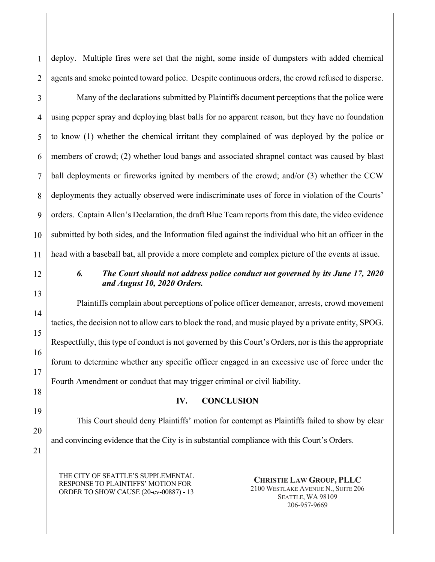deploy. Multiple fires were set that the night, some inside of dumpsters with added chemical agents and smoke pointed toward police. Despite continuous orders, the crowd refused to disperse.

3 4 5 6 7 8 9 10 11 Many of the declarations submitted by Plaintiffs document perceptions that the police were using pepper spray and deploying blast balls for no apparent reason, but they have no foundation to know (1) whether the chemical irritant they complained of was deployed by the police or members of crowd; (2) whether loud bangs and associated shrapnel contact was caused by blast ball deployments or fireworks ignited by members of the crowd; and/or (3) whether the CCW deployments they actually observed were indiscriminate uses of force in violation of the Courts' orders. Captain Allen's Declaration, the draft Blue Team reports from this date, the video evidence submitted by both sides, and the Information filed against the individual who hit an officer in the head with a baseball bat, all provide a more complete and complex picture of the events at issue.

12

13

14

15

16

17

18

19

20

1

2

# *6. The Court should not address police conduct not governed by its June 17, 2020 and August 10, 2020 Orders.*

Plaintiffs complain about perceptions of police officer demeanor, arrests, crowd movement tactics, the decision not to allow cars to block the road, and music played by a private entity, SPOG. Respectfully, this type of conduct is not governed by this Court's Orders, nor is this the appropriate forum to determine whether any specific officer engaged in an excessive use of force under the Fourth Amendment or conduct that may trigger criminal or civil liability.

# **IV. CONCLUSION**

This Court should deny Plaintiffs' motion for contempt as Plaintiffs failed to show by clear and convincing evidence that the City is in substantial compliance with this Court's Orders.

21

THE CITY OF SEATTLE'S SUPPLEMENTAL RESPONSE TO PLAINTIFFS' MOTION FOR ORDER TO SHOW CAUSE (20-cv-00887) - 13